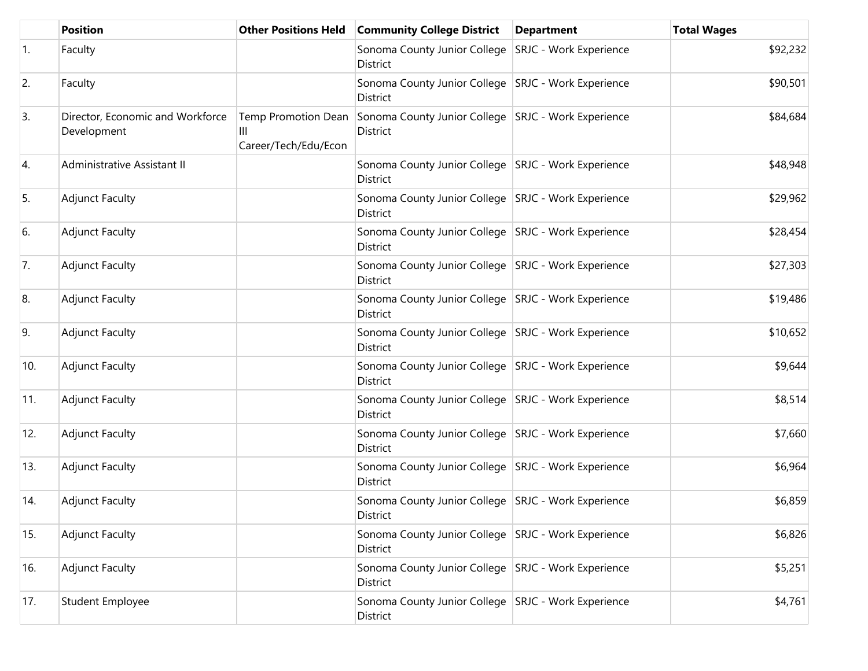|     | <b>Position</b>                                 | <b>Other Positions Held</b>                      | <b>Community College District</b>                                        | <b>Department</b> | <b>Total Wages</b> |
|-----|-------------------------------------------------|--------------------------------------------------|--------------------------------------------------------------------------|-------------------|--------------------|
| 1.  | Faculty                                         |                                                  | Sonoma County Junior College   SRJC - Work Experience<br>District        |                   | \$92,232           |
| 2.  | Faculty                                         |                                                  | Sonoma County Junior College SRJC - Work Experience<br>District          |                   | \$90,501           |
| 3.  | Director, Economic and Workforce<br>Development | Temp Promotion Dean<br>Ш<br>Career/Tech/Edu/Econ | Sonoma County Junior College SRJC - Work Experience<br><b>District</b>   |                   | \$84,684           |
| 4.  | Administrative Assistant II                     |                                                  | Sonoma County Junior College   SRJC - Work Experience<br>District        |                   | \$48,948           |
| 5.  | <b>Adjunct Faculty</b>                          |                                                  | Sonoma County Junior College   SRJC - Work Experience<br>District        |                   | \$29,962           |
| 6.  | <b>Adjunct Faculty</b>                          |                                                  | Sonoma County Junior College SRJC - Work Experience<br>District          |                   | \$28,454           |
| 7.  | <b>Adjunct Faculty</b>                          |                                                  | Sonoma County Junior College SRJC - Work Experience<br>District          |                   | \$27,303           |
| 8.  | <b>Adjunct Faculty</b>                          |                                                  | Sonoma County Junior College   SRJC - Work Experience<br>District        |                   | \$19,486           |
| 9.  | <b>Adjunct Faculty</b>                          |                                                  | Sonoma County Junior College   SRJC - Work Experience<br>District        |                   | \$10,652           |
| 10. | <b>Adjunct Faculty</b>                          |                                                  | Sonoma County Junior College   SRJC - Work Experience<br><b>District</b> |                   | \$9,644            |
| 11. | <b>Adjunct Faculty</b>                          |                                                  | Sonoma County Junior College   SRJC - Work Experience<br>District        |                   | \$8,514            |
| 12. | <b>Adjunct Faculty</b>                          |                                                  | Sonoma County Junior College   SRJC - Work Experience<br>District        |                   | \$7,660            |
| 13. | <b>Adjunct Faculty</b>                          |                                                  | Sonoma County Junior College   SRJC - Work Experience<br>District        |                   | \$6,964            |
| 14. | <b>Adjunct Faculty</b>                          |                                                  | Sonoma County Junior College   SRJC - Work Experience<br>District        |                   | \$6,859            |
| 15. | <b>Adjunct Faculty</b>                          |                                                  | Sonoma County Junior College   SRJC - Work Experience<br>District        |                   | \$6,826            |
| 16. | <b>Adjunct Faculty</b>                          |                                                  | Sonoma County Junior College SRJC - Work Experience<br>District          |                   | \$5,251            |
| 17. | Student Employee                                |                                                  | Sonoma County Junior College   SRJC - Work Experience<br>District        |                   | \$4,761            |